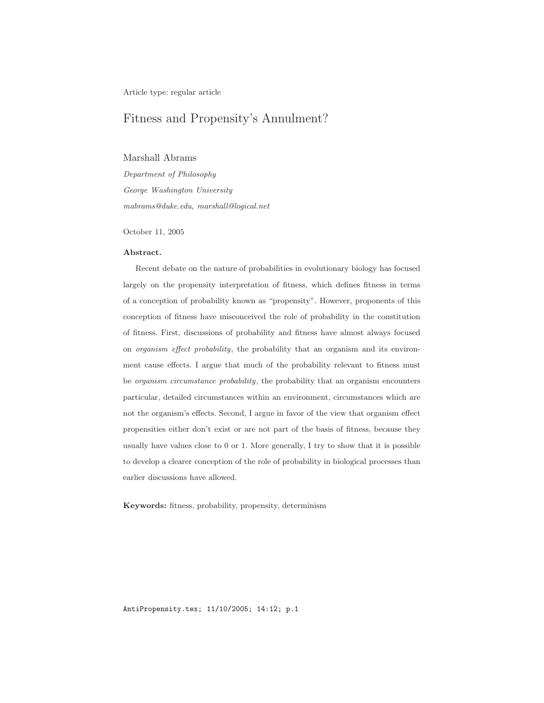Article type: regular article

# Fitness and Propensity's Annulment?

## Marshall Abrams

Department of Philosophy George Washington University mabrams@duke.edu, marshall@logical.net

October 11, 2005

#### Abstract.

Recent debate on the nature of probabilities in evolutionary biology has focused largely on the propensity interpretation of fitness, which defines fitness in terms of a conception of probability known as "propensity". However, proponents of this conception of fitness have misconceived the role of probability in the constitution of fitness. First, discussions of probability and fitness have almost always focused on organism effect probability, the probability that an organism and its environment cause effects. I argue that much of the probability relevant to fitness must be organism circumstance probability, the probability that an organism encounters particular, detailed circumstances within an environment, circumstances which are not the organism's effects. Second, I argue in favor of the view that organism effect propensities either don't exist or are not part of the basis of fitness, because they usually have values close to 0 or 1. More generally, I try to show that it is possible to develop a clearer conception of the role of probability in biological processes than earlier discussions have allowed.

Keywords: fitness, probability, propensity, determinism

AntiPropensity.tex; 11/10/2005; 14:12; p.1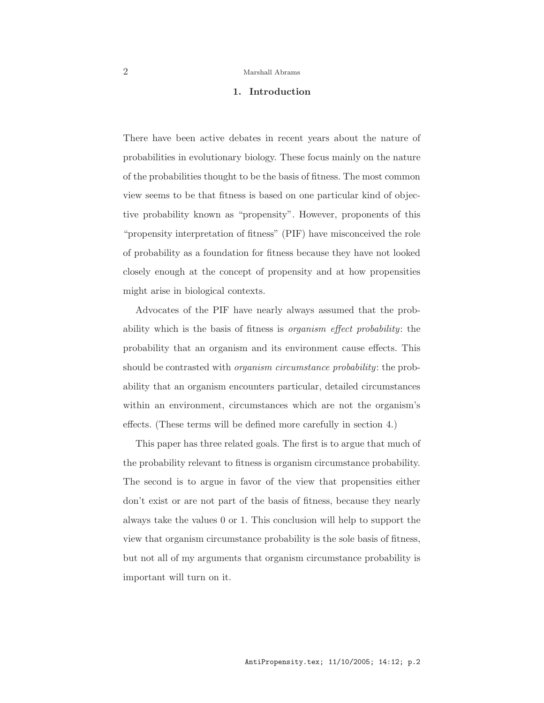## 1. Introduction

There have been active debates in recent years about the nature of probabilities in evolutionary biology. These focus mainly on the nature of the probabilities thought to be the basis of fitness. The most common view seems to be that fitness is based on one particular kind of objective probability known as "propensity". However, proponents of this "propensity interpretation of fitness" (PIF) have misconceived the role of probability as a foundation for fitness because they have not looked closely enough at the concept of propensity and at how propensities might arise in biological contexts.

Advocates of the PIF have nearly always assumed that the probability which is the basis of fitness is organism effect probability: the probability that an organism and its environment cause effects. This should be contrasted with *organism circumstance probability*: the probability that an organism encounters particular, detailed circumstances within an environment, circumstances which are not the organism's effects. (These terms will be defined more carefully in section 4.)

This paper has three related goals. The first is to argue that much of the probability relevant to fitness is organism circumstance probability. The second is to argue in favor of the view that propensities either don't exist or are not part of the basis of fitness, because they nearly always take the values 0 or 1. This conclusion will help to support the view that organism circumstance probability is the sole basis of fitness, but not all of my arguments that organism circumstance probability is important will turn on it.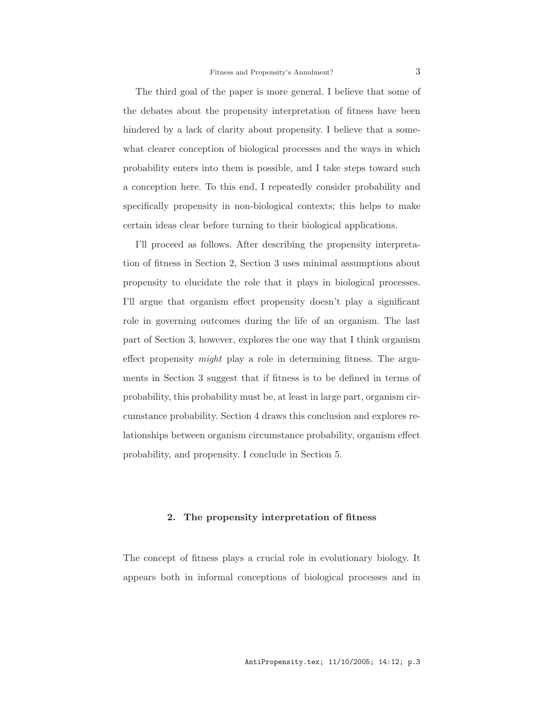The third goal of the paper is more general. I believe that some of the debates about the propensity interpretation of fitness have been hindered by a lack of clarity about propensity. I believe that a somewhat clearer conception of biological processes and the ways in which probability enters into them is possible, and I take steps toward such a conception here. To this end, I repeatedly consider probability and specifically propensity in non-biological contexts; this helps to make certain ideas clear before turning to their biological applications.

I'll proceed as follows. After describing the propensity interpretation of fitness in Section 2, Section 3 uses minimal assumptions about propensity to elucidate the role that it plays in biological processes. I'll argue that organism effect propensity doesn't play a significant role in governing outcomes during the life of an organism. The last part of Section 3, however, explores the one way that I think organism effect propensity might play a role in determining fitness. The arguments in Section 3 suggest that if fitness is to be defined in terms of probability, this probability must be, at least in large part, organism circumstance probability. Section 4 draws this conclusion and explores relationships between organism circumstance probability, organism effect probability, and propensity. I conclude in Section 5.

## 2. The propensity interpretation of fitness

The concept of fitness plays a crucial role in evolutionary biology. It appears both in informal conceptions of biological processes and in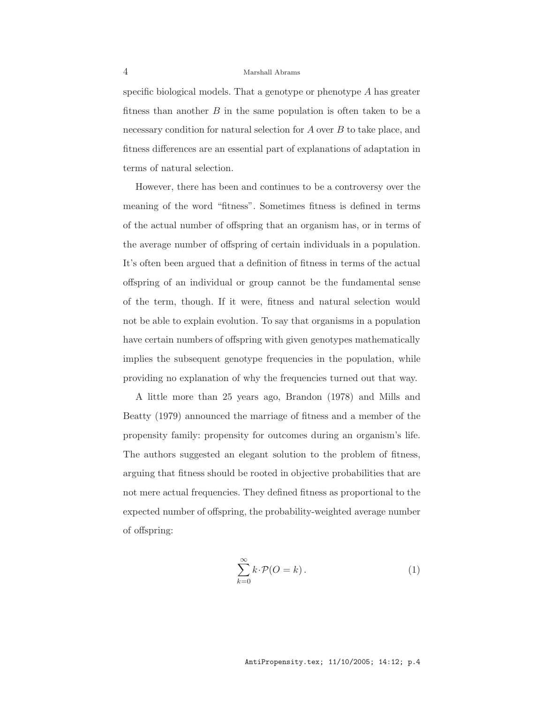specific biological models. That a genotype or phenotype A has greater fitness than another  $B$  in the same population is often taken to be a necessary condition for natural selection for  $A$  over  $B$  to take place, and fitness differences are an essential part of explanations of adaptation in terms of natural selection.

However, there has been and continues to be a controversy over the meaning of the word "fitness". Sometimes fitness is defined in terms of the actual number of offspring that an organism has, or in terms of the average number of offspring of certain individuals in a population. It's often been argued that a definition of fitness in terms of the actual offspring of an individual or group cannot be the fundamental sense of the term, though. If it were, fitness and natural selection would not be able to explain evolution. To say that organisms in a population have certain numbers of offspring with given genotypes mathematically implies the subsequent genotype frequencies in the population, while providing no explanation of why the frequencies turned out that way.

A little more than 25 years ago, Brandon (1978) and Mills and Beatty (1979) announced the marriage of fitness and a member of the propensity family: propensity for outcomes during an organism's life. The authors suggested an elegant solution to the problem of fitness, arguing that fitness should be rooted in objective probabilities that are not mere actual frequencies. They defined fitness as proportional to the expected number of offspring, the probability-weighted average number of offspring:

$$
\sum_{k=0}^{\infty} k \cdot \mathcal{P}(O = k).
$$
 (1)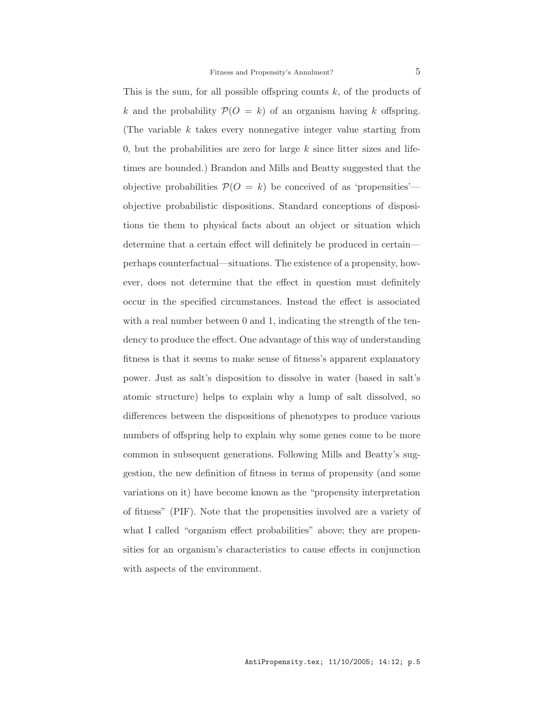This is the sum, for all possible offspring counts  $k$ , of the products of k and the probability  $P(O = k)$  of an organism having k offspring. (The variable  $k$  takes every nonnegative integer value starting from 0, but the probabilities are zero for large  $k$  since litter sizes and lifetimes are bounded.) Brandon and Mills and Beatty suggested that the objective probabilities  $\mathcal{P}(O = k)$  be conceived of as 'propensities' objective probabilistic dispositions. Standard conceptions of dispositions tie them to physical facts about an object or situation which determine that a certain effect will definitely be produced in certain perhaps counterfactual—situations. The existence of a propensity, however, does not determine that the effect in question must definitely occur in the specified circumstances. Instead the effect is associated with a real number between 0 and 1, indicating the strength of the tendency to produce the effect. One advantage of this way of understanding fitness is that it seems to make sense of fitness's apparent explanatory power. Just as salt's disposition to dissolve in water (based in salt's atomic structure) helps to explain why a lump of salt dissolved, so differences between the dispositions of phenotypes to produce various numbers of offspring help to explain why some genes come to be more common in subsequent generations. Following Mills and Beatty's suggestion, the new definition of fitness in terms of propensity (and some variations on it) have become known as the "propensity interpretation of fitness" (PIF). Note that the propensities involved are a variety of what I called "organism effect probabilities" above; they are propensities for an organism's characteristics to cause effects in conjunction with aspects of the environment.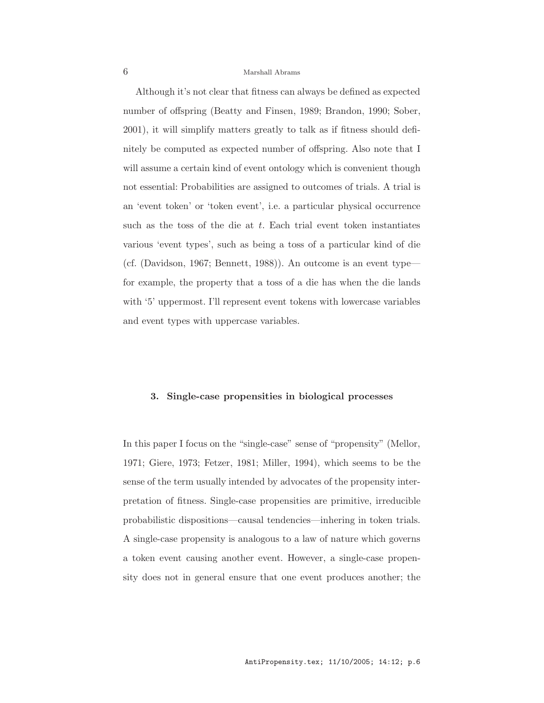Although it's not clear that fitness can always be defined as expected number of offspring (Beatty and Finsen, 1989; Brandon, 1990; Sober, 2001), it will simplify matters greatly to talk as if fitness should definitely be computed as expected number of offspring. Also note that I will assume a certain kind of event ontology which is convenient though not essential: Probabilities are assigned to outcomes of trials. A trial is an 'event token' or 'token event', i.e. a particular physical occurrence such as the toss of the die at  $t$ . Each trial event token instantiates various 'event types', such as being a toss of a particular kind of die (cf. (Davidson, 1967; Bennett, 1988)). An outcome is an event type for example, the property that a toss of a die has when the die lands with '5' uppermost. I'll represent event tokens with lowercase variables and event types with uppercase variables.

## 3. Single-case propensities in biological processes

In this paper I focus on the "single-case" sense of "propensity" (Mellor, 1971; Giere, 1973; Fetzer, 1981; Miller, 1994), which seems to be the sense of the term usually intended by advocates of the propensity interpretation of fitness. Single-case propensities are primitive, irreducible probabilistic dispositions—causal tendencies—inhering in token trials. A single-case propensity is analogous to a law of nature which governs a token event causing another event. However, a single-case propensity does not in general ensure that one event produces another; the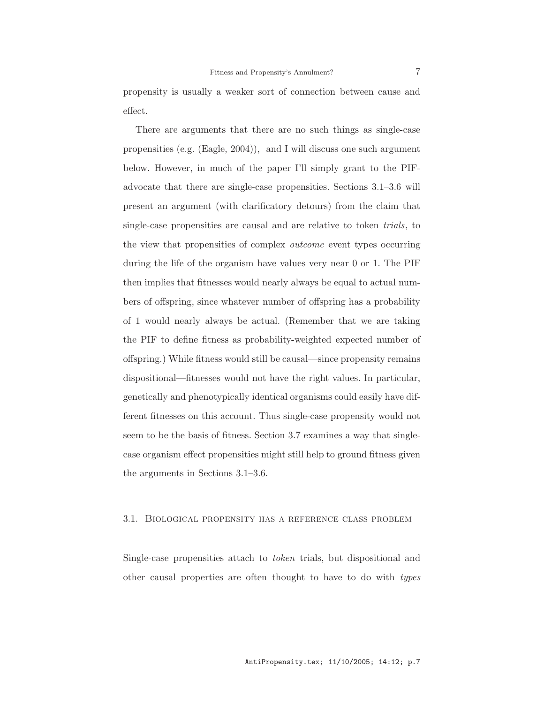propensity is usually a weaker sort of connection between cause and effect.

There are arguments that there are no such things as single-case propensities (e.g. (Eagle, 2004)), and I will discuss one such argument below. However, in much of the paper I'll simply grant to the PIFadvocate that there are single-case propensities. Sections 3.1–3.6 will present an argument (with clarificatory detours) from the claim that single-case propensities are causal and are relative to token trials, to the view that propensities of complex *outcome* event types occurring during the life of the organism have values very near 0 or 1. The PIF then implies that fitnesses would nearly always be equal to actual numbers of offspring, since whatever number of offspring has a probability of 1 would nearly always be actual. (Remember that we are taking the PIF to define fitness as probability-weighted expected number of offspring.) While fitness would still be causal—since propensity remains dispositional—fitnesses would not have the right values. In particular, genetically and phenotypically identical organisms could easily have different fitnesses on this account. Thus single-case propensity would not seem to be the basis of fitness. Section 3.7 examines a way that singlecase organism effect propensities might still help to ground fitness given the arguments in Sections 3.1–3.6.

## 3.1. Biological propensity has a reference class problem

Single-case propensities attach to token trials, but dispositional and other causal properties are often thought to have to do with types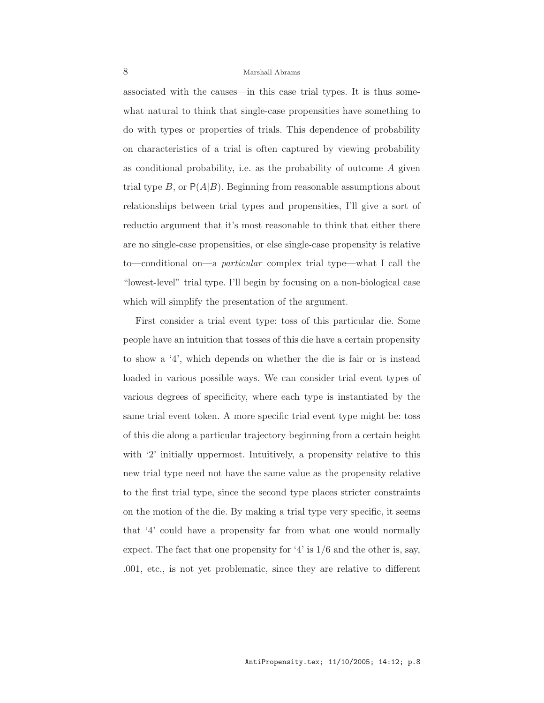associated with the causes—in this case trial types. It is thus somewhat natural to think that single-case propensities have something to do with types or properties of trials. This dependence of probability on characteristics of a trial is often captured by viewing probability as conditional probability, i.e. as the probability of outcome A given trial type B, or  $P(A|B)$ . Beginning from reasonable assumptions about relationships between trial types and propensities, I'll give a sort of reductio argument that it's most reasonable to think that either there are no single-case propensities, or else single-case propensity is relative to—conditional on—a particular complex trial type—what I call the "lowest-level" trial type. I'll begin by focusing on a non-biological case which will simplify the presentation of the argument.

First consider a trial event type: toss of this particular die. Some people have an intuition that tosses of this die have a certain propensity to show a '4', which depends on whether the die is fair or is instead loaded in various possible ways. We can consider trial event types of various degrees of specificity, where each type is instantiated by the same trial event token. A more specific trial event type might be: toss of this die along a particular trajectory beginning from a certain height with '2' initially uppermost. Intuitively, a propensity relative to this new trial type need not have the same value as the propensity relative to the first trial type, since the second type places stricter constraints on the motion of the die. By making a trial type very specific, it seems that '4' could have a propensity far from what one would normally expect. The fact that one propensity for '4' is  $1/6$  and the other is, say, .001, etc., is not yet problematic, since they are relative to different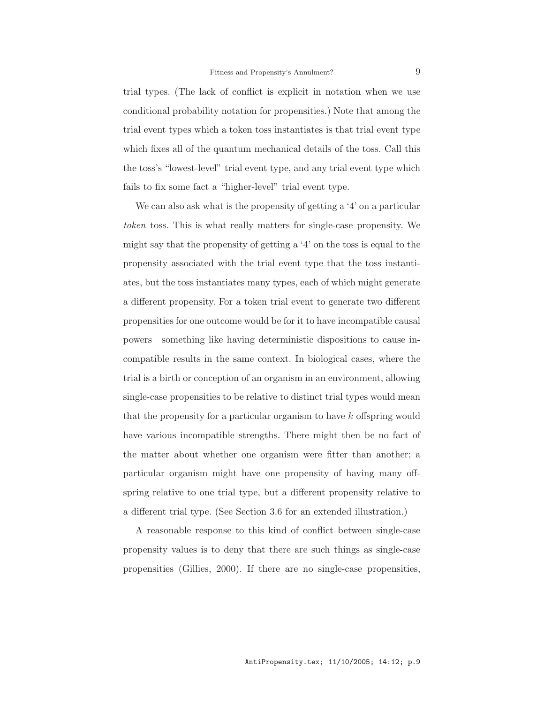trial types. (The lack of conflict is explicit in notation when we use conditional probability notation for propensities.) Note that among the trial event types which a token toss instantiates is that trial event type which fixes all of the quantum mechanical details of the toss. Call this the toss's "lowest-level" trial event type, and any trial event type which fails to fix some fact a "higher-level" trial event type.

We can also ask what is the propensity of getting a '4' on a particular token toss. This is what really matters for single-case propensity. We might say that the propensity of getting a '4' on the toss is equal to the propensity associated with the trial event type that the toss instantiates, but the toss instantiates many types, each of which might generate a different propensity. For a token trial event to generate two different propensities for one outcome would be for it to have incompatible causal powers—something like having deterministic dispositions to cause incompatible results in the same context. In biological cases, where the trial is a birth or conception of an organism in an environment, allowing single-case propensities to be relative to distinct trial types would mean that the propensity for a particular organism to have k offspring would have various incompatible strengths. There might then be no fact of the matter about whether one organism were fitter than another; a particular organism might have one propensity of having many offspring relative to one trial type, but a different propensity relative to a different trial type. (See Section 3.6 for an extended illustration.)

A reasonable response to this kind of conflict between single-case propensity values is to deny that there are such things as single-case propensities (Gillies, 2000). If there are no single-case propensities,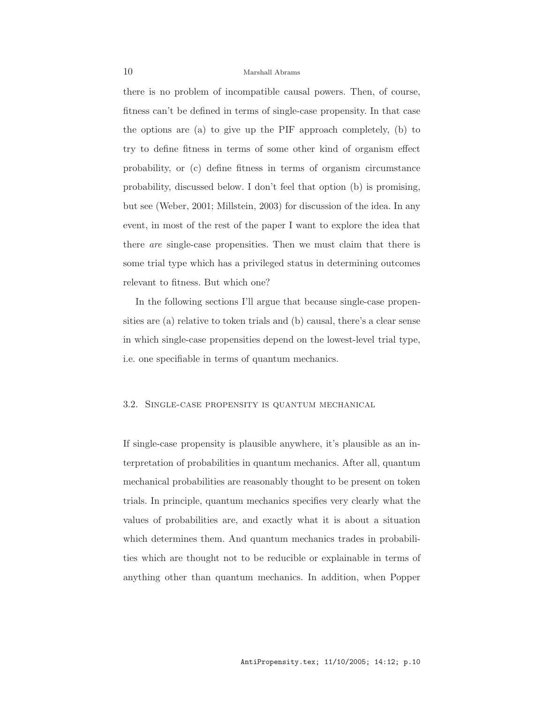there is no problem of incompatible causal powers. Then, of course, fitness can't be defined in terms of single-case propensity. In that case the options are (a) to give up the PIF approach completely, (b) to try to define fitness in terms of some other kind of organism effect probability, or (c) define fitness in terms of organism circumstance probability, discussed below. I don't feel that option (b) is promising, but see (Weber, 2001; Millstein, 2003) for discussion of the idea. In any event, in most of the rest of the paper I want to explore the idea that there are single-case propensities. Then we must claim that there is some trial type which has a privileged status in determining outcomes relevant to fitness. But which one?

In the following sections I'll argue that because single-case propensities are (a) relative to token trials and (b) causal, there's a clear sense in which single-case propensities depend on the lowest-level trial type, i.e. one specifiable in terms of quantum mechanics.

#### 3.2. Single-case propensity is quantum mechanical

If single-case propensity is plausible anywhere, it's plausible as an interpretation of probabilities in quantum mechanics. After all, quantum mechanical probabilities are reasonably thought to be present on token trials. In principle, quantum mechanics specifies very clearly what the values of probabilities are, and exactly what it is about a situation which determines them. And quantum mechanics trades in probabilities which are thought not to be reducible or explainable in terms of anything other than quantum mechanics. In addition, when Popper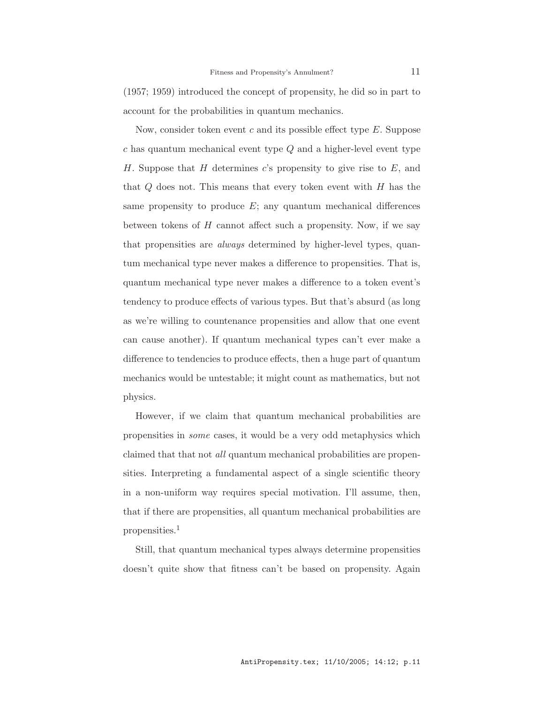(1957; 1959) introduced the concept of propensity, he did so in part to account for the probabilities in quantum mechanics.

Now, consider token event c and its possible effect type  $E$ . Suppose  $c$  has quantum mechanical event type  $Q$  and a higher-level event type H. Suppose that  $H$  determines  $c$ 's propensity to give rise to  $E$ , and that  $Q$  does not. This means that every token event with  $H$  has the same propensity to produce  $E$ ; any quantum mechanical differences between tokens of  $H$  cannot affect such a propensity. Now, if we say that propensities are *always* determined by higher-level types, quantum mechanical type never makes a difference to propensities. That is, quantum mechanical type never makes a difference to a token event's tendency to produce effects of various types. But that's absurd (as long as we're willing to countenance propensities and allow that one event can cause another). If quantum mechanical types can't ever make a difference to tendencies to produce effects, then a huge part of quantum mechanics would be untestable; it might count as mathematics, but not physics.

However, if we claim that quantum mechanical probabilities are propensities in some cases, it would be a very odd metaphysics which claimed that that not *all* quantum mechanical probabilities are propensities. Interpreting a fundamental aspect of a single scientific theory in a non-uniform way requires special motivation. I'll assume, then, that if there are propensities, all quantum mechanical probabilities are propensities.<sup>1</sup>

Still, that quantum mechanical types always determine propensities doesn't quite show that fitness can't be based on propensity. Again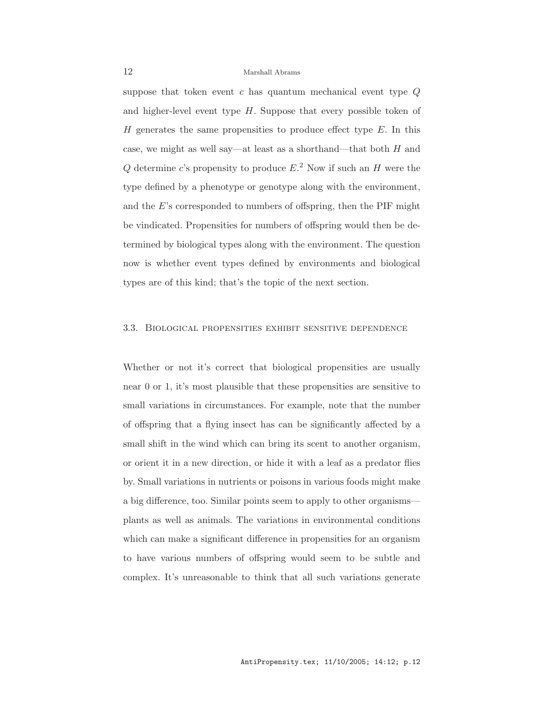suppose that token event  $c$  has quantum mechanical event type  $Q$ and higher-level event type  $H$ . Suppose that every possible token of H generates the same propensities to produce effect type  $E$ . In this case, we might as well say—at least as a shorthand—that both  $H$  and Q determine c's propensity to produce  $E^2$ . Now if such an H were the type defined by a phenotype or genotype along with the environment, and the E's corresponded to numbers of offspring, then the PIF might be vindicated. Propensities for numbers of offspring would then be determined by biological types along with the environment. The question now is whether event types defined by environments and biological types are of this kind; that's the topic of the next section.

#### 3.3. Biological propensities exhibit sensitive dependence

Whether or not it's correct that biological propensities are usually near 0 or 1, it's most plausible that these propensities are sensitive to small variations in circumstances. For example, note that the number of offspring that a flying insect has can be significantly affected by a small shift in the wind which can bring its scent to another organism, or orient it in a new direction, or hide it with a leaf as a predator flies by. Small variations in nutrients or poisons in various foods might make a big difference, too. Similar points seem to apply to other organisms plants as well as animals. The variations in environmental conditions which can make a significant difference in propensities for an organism to have various numbers of offspring would seem to be subtle and complex. It's unreasonable to think that all such variations generate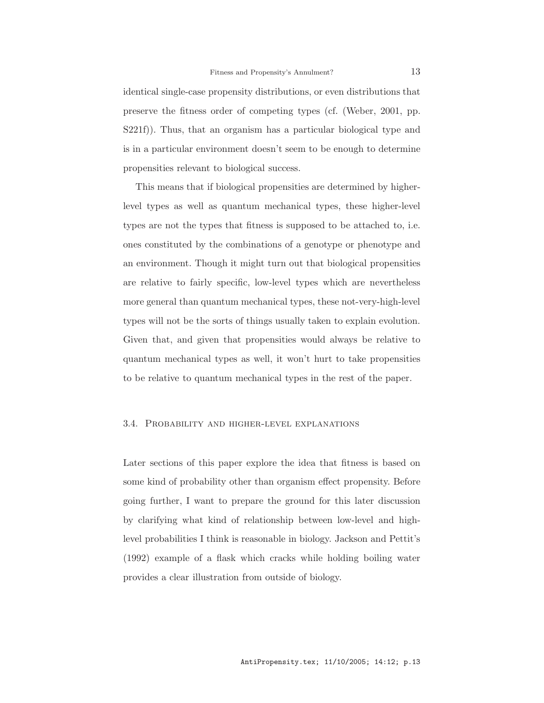identical single-case propensity distributions, or even distributions that preserve the fitness order of competing types (cf. (Weber, 2001, pp. S221f)). Thus, that an organism has a particular biological type and is in a particular environment doesn't seem to be enough to determine propensities relevant to biological success.

This means that if biological propensities are determined by higherlevel types as well as quantum mechanical types, these higher-level types are not the types that fitness is supposed to be attached to, i.e. ones constituted by the combinations of a genotype or phenotype and an environment. Though it might turn out that biological propensities are relative to fairly specific, low-level types which are nevertheless more general than quantum mechanical types, these not-very-high-level types will not be the sorts of things usually taken to explain evolution. Given that, and given that propensities would always be relative to quantum mechanical types as well, it won't hurt to take propensities to be relative to quantum mechanical types in the rest of the paper.

#### 3.4. Probability and higher-level explanations

Later sections of this paper explore the idea that fitness is based on some kind of probability other than organism effect propensity. Before going further, I want to prepare the ground for this later discussion by clarifying what kind of relationship between low-level and highlevel probabilities I think is reasonable in biology. Jackson and Pettit's (1992) example of a flask which cracks while holding boiling water provides a clear illustration from outside of biology.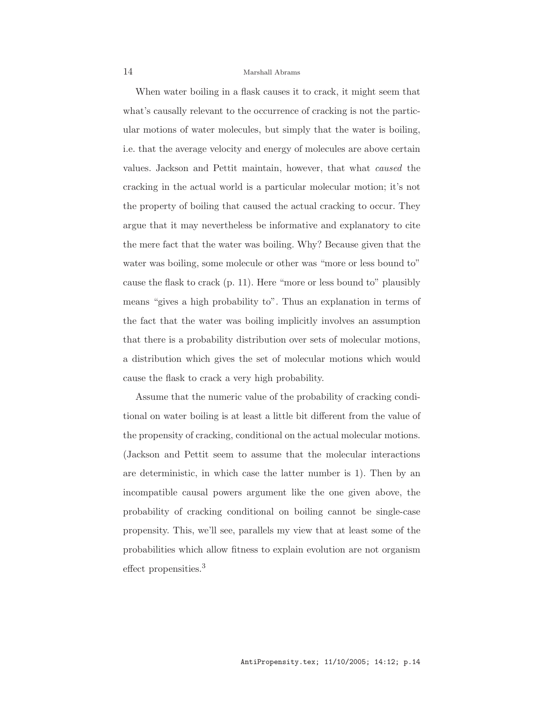When water boiling in a flask causes it to crack, it might seem that what's causally relevant to the occurrence of cracking is not the particular motions of water molecules, but simply that the water is boiling, i.e. that the average velocity and energy of molecules are above certain values. Jackson and Pettit maintain, however, that what caused the cracking in the actual world is a particular molecular motion; it's not the property of boiling that caused the actual cracking to occur. They argue that it may nevertheless be informative and explanatory to cite the mere fact that the water was boiling. Why? Because given that the water was boiling, some molecule or other was "more or less bound to" cause the flask to crack (p. 11). Here "more or less bound to" plausibly means "gives a high probability to". Thus an explanation in terms of the fact that the water was boiling implicitly involves an assumption that there is a probability distribution over sets of molecular motions, a distribution which gives the set of molecular motions which would cause the flask to crack a very high probability.

Assume that the numeric value of the probability of cracking conditional on water boiling is at least a little bit different from the value of the propensity of cracking, conditional on the actual molecular motions. (Jackson and Pettit seem to assume that the molecular interactions are deterministic, in which case the latter number is 1). Then by an incompatible causal powers argument like the one given above, the probability of cracking conditional on boiling cannot be single-case propensity. This, we'll see, parallels my view that at least some of the probabilities which allow fitness to explain evolution are not organism effect propensities.<sup>3</sup>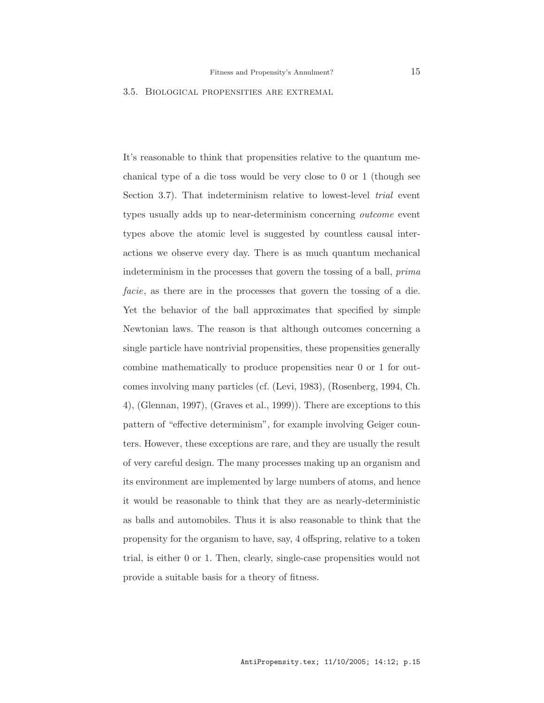## 3.5. Biological propensities are extremal

It's reasonable to think that propensities relative to the quantum mechanical type of a die toss would be very close to 0 or 1 (though see Section 3.7). That indeterminism relative to lowest-level *trial* event types usually adds up to near-determinism concerning outcome event types above the atomic level is suggested by countless causal interactions we observe every day. There is as much quantum mechanical indeterminism in the processes that govern the tossing of a ball, prima facie, as there are in the processes that govern the tossing of a die. Yet the behavior of the ball approximates that specified by simple Newtonian laws. The reason is that although outcomes concerning a single particle have nontrivial propensities, these propensities generally combine mathematically to produce propensities near 0 or 1 for outcomes involving many particles (cf. (Levi, 1983), (Rosenberg, 1994, Ch. 4), (Glennan, 1997), (Graves et al., 1999)). There are exceptions to this pattern of "effective determinism", for example involving Geiger counters. However, these exceptions are rare, and they are usually the result of very careful design. The many processes making up an organism and its environment are implemented by large numbers of atoms, and hence it would be reasonable to think that they are as nearly-deterministic as balls and automobiles. Thus it is also reasonable to think that the propensity for the organism to have, say, 4 offspring, relative to a token trial, is either 0 or 1. Then, clearly, single-case propensities would not provide a suitable basis for a theory of fitness.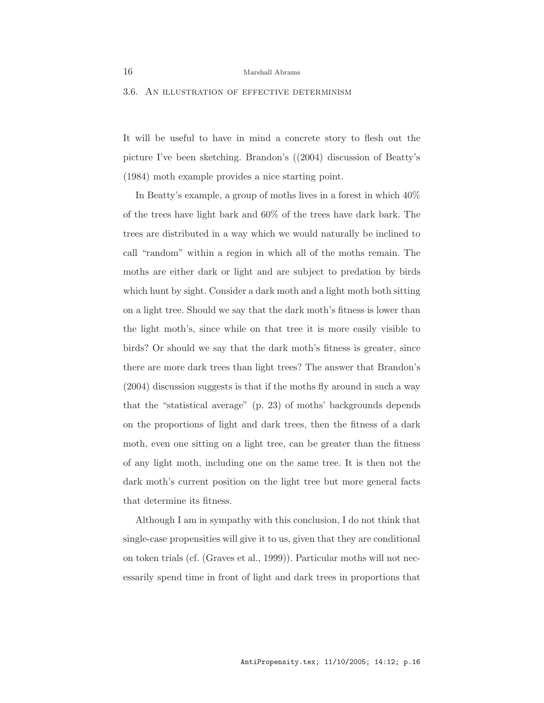#### 3.6. An illustration of effective determinism

It will be useful to have in mind a concrete story to flesh out the picture I've been sketching. Brandon's ((2004) discussion of Beatty's (1984) moth example provides a nice starting point.

In Beatty's example, a group of moths lives in a forest in which 40% of the trees have light bark and 60% of the trees have dark bark. The trees are distributed in a way which we would naturally be inclined to call "random" within a region in which all of the moths remain. The moths are either dark or light and are subject to predation by birds which hunt by sight. Consider a dark moth and a light moth both sitting on a light tree. Should we say that the dark moth's fitness is lower than the light moth's, since while on that tree it is more easily visible to birds? Or should we say that the dark moth's fitness is greater, since there are more dark trees than light trees? The answer that Brandon's (2004) discussion suggests is that if the moths fly around in such a way that the "statistical average" (p. 23) of moths' backgrounds depends on the proportions of light and dark trees, then the fitness of a dark moth, even one sitting on a light tree, can be greater than the fitness of any light moth, including one on the same tree. It is then not the dark moth's current position on the light tree but more general facts that determine its fitness.

Although I am in sympathy with this conclusion, I do not think that single-case propensities will give it to us, given that they are conditional on token trials (cf. (Graves et al., 1999)). Particular moths will not necessarily spend time in front of light and dark trees in proportions that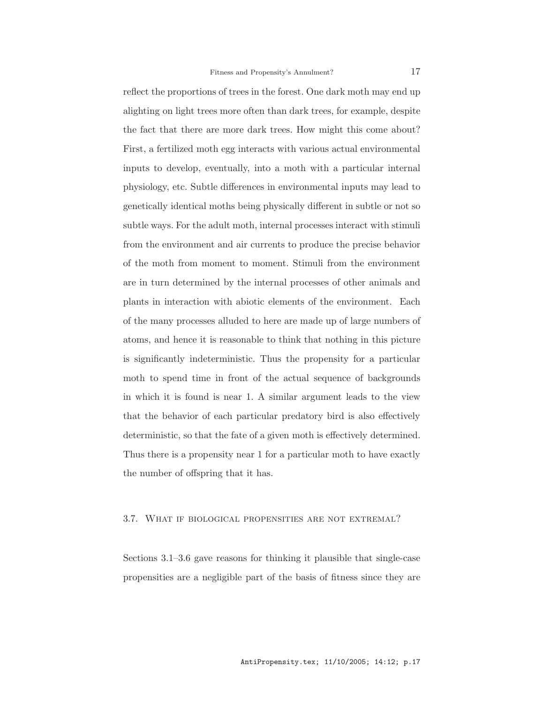reflect the proportions of trees in the forest. One dark moth may end up alighting on light trees more often than dark trees, for example, despite the fact that there are more dark trees. How might this come about? First, a fertilized moth egg interacts with various actual environmental inputs to develop, eventually, into a moth with a particular internal physiology, etc. Subtle differences in environmental inputs may lead to genetically identical moths being physically different in subtle or not so subtle ways. For the adult moth, internal processes interact with stimuli from the environment and air currents to produce the precise behavior of the moth from moment to moment. Stimuli from the environment are in turn determined by the internal processes of other animals and plants in interaction with abiotic elements of the environment. Each of the many processes alluded to here are made up of large numbers of atoms, and hence it is reasonable to think that nothing in this picture is significantly indeterministic. Thus the propensity for a particular moth to spend time in front of the actual sequence of backgrounds in which it is found is near 1. A similar argument leads to the view that the behavior of each particular predatory bird is also effectively deterministic, so that the fate of a given moth is effectively determined. Thus there is a propensity near 1 for a particular moth to have exactly the number of offspring that it has.

#### 3.7. What if biological propensities are not extremal?

Sections 3.1–3.6 gave reasons for thinking it plausible that single-case propensities are a negligible part of the basis of fitness since they are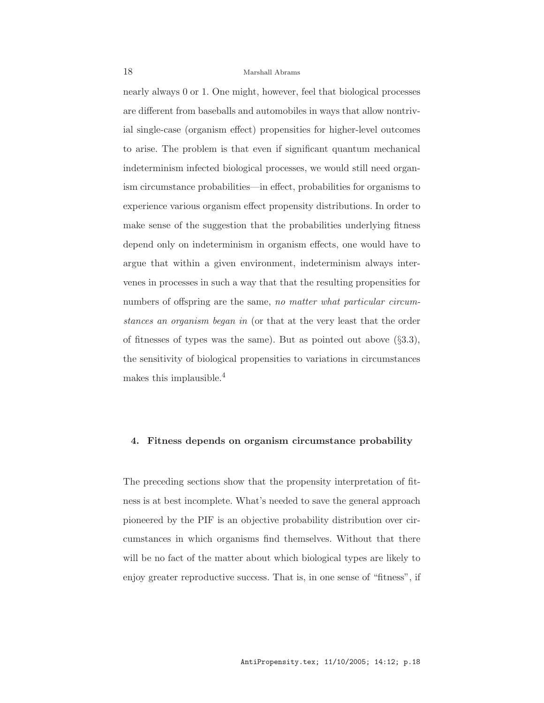nearly always 0 or 1. One might, however, feel that biological processes are different from baseballs and automobiles in ways that allow nontrivial single-case (organism effect) propensities for higher-level outcomes to arise. The problem is that even if significant quantum mechanical indeterminism infected biological processes, we would still need organism circumstance probabilities—in effect, probabilities for organisms to experience various organism effect propensity distributions. In order to make sense of the suggestion that the probabilities underlying fitness depend only on indeterminism in organism effects, one would have to argue that within a given environment, indeterminism always intervenes in processes in such a way that that the resulting propensities for numbers of offspring are the same, no matter what particular circumstances an organism began in (or that at the very least that the order of fitnesses of types was the same). But as pointed out above  $(\S 3.3)$ , the sensitivity of biological propensities to variations in circumstances makes this implausible.<sup>4</sup>

## 4. Fitness depends on organism circumstance probability

The preceding sections show that the propensity interpretation of fitness is at best incomplete. What's needed to save the general approach pioneered by the PIF is an objective probability distribution over circumstances in which organisms find themselves. Without that there will be no fact of the matter about which biological types are likely to enjoy greater reproductive success. That is, in one sense of "fitness", if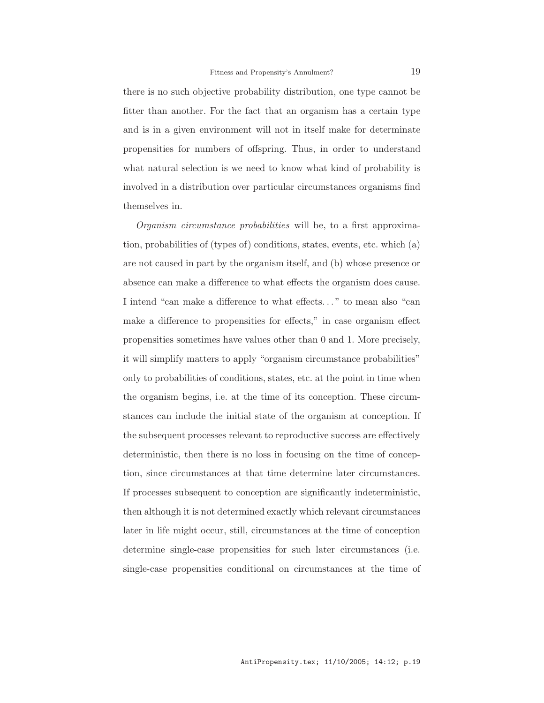there is no such objective probability distribution, one type cannot be fitter than another. For the fact that an organism has a certain type and is in a given environment will not in itself make for determinate propensities for numbers of offspring. Thus, in order to understand what natural selection is we need to know what kind of probability is involved in a distribution over particular circumstances organisms find themselves in.

Organism circumstance probabilities will be, to a first approximation, probabilities of (types of) conditions, states, events, etc. which (a) are not caused in part by the organism itself, and (b) whose presence or absence can make a difference to what effects the organism does cause. I intend "can make a difference to what effects. . . " to mean also "can make a difference to propensities for effects," in case organism effect propensities sometimes have values other than 0 and 1. More precisely, it will simplify matters to apply "organism circumstance probabilities" only to probabilities of conditions, states, etc. at the point in time when the organism begins, i.e. at the time of its conception. These circumstances can include the initial state of the organism at conception. If the subsequent processes relevant to reproductive success are effectively deterministic, then there is no loss in focusing on the time of conception, since circumstances at that time determine later circumstances. If processes subsequent to conception are significantly indeterministic, then although it is not determined exactly which relevant circumstances later in life might occur, still, circumstances at the time of conception determine single-case propensities for such later circumstances (i.e. single-case propensities conditional on circumstances at the time of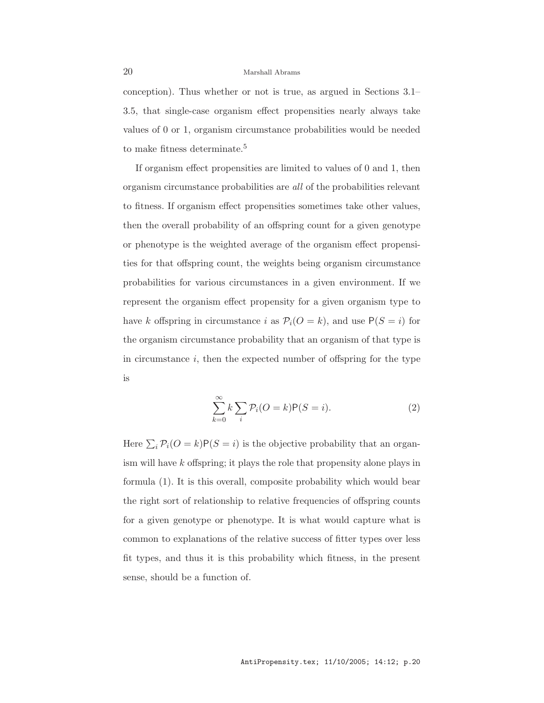conception). Thus whether or not is true, as argued in Sections 3.1– 3.5, that single-case organism effect propensities nearly always take values of 0 or 1, organism circumstance probabilities would be needed to make fitness determinate.<sup>5</sup>

If organism effect propensities are limited to values of 0 and 1, then organism circumstance probabilities are all of the probabilities relevant to fitness. If organism effect propensities sometimes take other values, then the overall probability of an offspring count for a given genotype or phenotype is the weighted average of the organism effect propensities for that offspring count, the weights being organism circumstance probabilities for various circumstances in a given environment. If we represent the organism effect propensity for a given organism type to have k offspring in circumstance i as  $P_i$ ( $O = k$ ), and use  $P(S = i)$  for the organism circumstance probability that an organism of that type is in circumstance  $i$ , then the expected number of offspring for the type is

$$
\sum_{k=0}^{\infty} k \sum_{i} \mathcal{P}_i(O=k) \mathsf{P}(S=i).
$$
 (2)

Here  $\sum_i \mathcal{P}_i$   $(O = k)P(S = i)$  is the objective probability that an organism will have k offspring; it plays the role that propensity alone plays in formula (1). It is this overall, composite probability which would bear the right sort of relationship to relative frequencies of offspring counts for a given genotype or phenotype. It is what would capture what is common to explanations of the relative success of fitter types over less fit types, and thus it is this probability which fitness, in the present sense, should be a function of.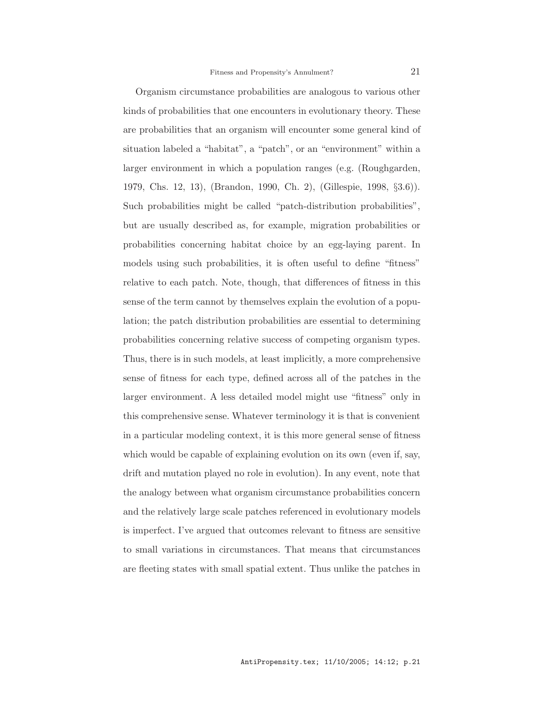Organism circumstance probabilities are analogous to various other kinds of probabilities that one encounters in evolutionary theory. These are probabilities that an organism will encounter some general kind of situation labeled a "habitat", a "patch", or an "environment" within a larger environment in which a population ranges (e.g. (Roughgarden, 1979, Chs. 12, 13), (Brandon, 1990, Ch. 2), (Gillespie, 1998, §3.6)). Such probabilities might be called "patch-distribution probabilities", but are usually described as, for example, migration probabilities or probabilities concerning habitat choice by an egg-laying parent. In models using such probabilities, it is often useful to define "fitness" relative to each patch. Note, though, that differences of fitness in this sense of the term cannot by themselves explain the evolution of a population; the patch distribution probabilities are essential to determining probabilities concerning relative success of competing organism types. Thus, there is in such models, at least implicitly, a more comprehensive sense of fitness for each type, defined across all of the patches in the larger environment. A less detailed model might use "fitness" only in this comprehensive sense. Whatever terminology it is that is convenient in a particular modeling context, it is this more general sense of fitness which would be capable of explaining evolution on its own (even if, say, drift and mutation played no role in evolution). In any event, note that the analogy between what organism circumstance probabilities concern and the relatively large scale patches referenced in evolutionary models is imperfect. I've argued that outcomes relevant to fitness are sensitive to small variations in circumstances. That means that circumstances are fleeting states with small spatial extent. Thus unlike the patches in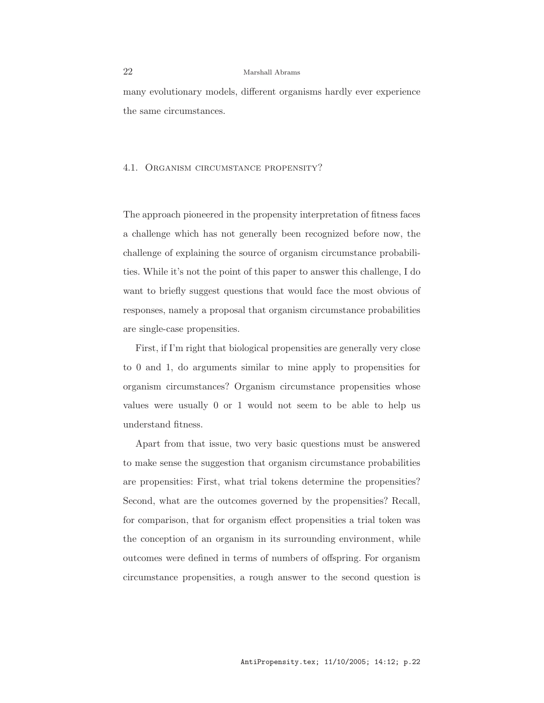many evolutionary models, different organisms hardly ever experience the same circumstances.

#### 4.1. Organism circumstance propensity?

The approach pioneered in the propensity interpretation of fitness faces a challenge which has not generally been recognized before now, the challenge of explaining the source of organism circumstance probabilities. While it's not the point of this paper to answer this challenge, I do want to briefly suggest questions that would face the most obvious of responses, namely a proposal that organism circumstance probabilities are single-case propensities.

First, if I'm right that biological propensities are generally very close to 0 and 1, do arguments similar to mine apply to propensities for organism circumstances? Organism circumstance propensities whose values were usually 0 or 1 would not seem to be able to help us understand fitness.

Apart from that issue, two very basic questions must be answered to make sense the suggestion that organism circumstance probabilities are propensities: First, what trial tokens determine the propensities? Second, what are the outcomes governed by the propensities? Recall, for comparison, that for organism effect propensities a trial token was the conception of an organism in its surrounding environment, while outcomes were defined in terms of numbers of offspring. For organism circumstance propensities, a rough answer to the second question is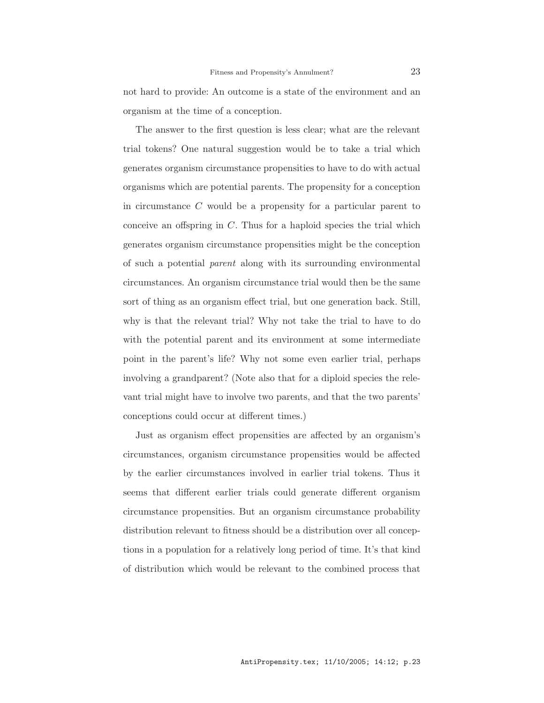not hard to provide: An outcome is a state of the environment and an organism at the time of a conception.

The answer to the first question is less clear; what are the relevant trial tokens? One natural suggestion would be to take a trial which generates organism circumstance propensities to have to do with actual organisms which are potential parents. The propensity for a conception in circumstance C would be a propensity for a particular parent to conceive an offspring in  $C$ . Thus for a haploid species the trial which generates organism circumstance propensities might be the conception of such a potential parent along with its surrounding environmental circumstances. An organism circumstance trial would then be the same sort of thing as an organism effect trial, but one generation back. Still, why is that the relevant trial? Why not take the trial to have to do with the potential parent and its environment at some intermediate point in the parent's life? Why not some even earlier trial, perhaps involving a grandparent? (Note also that for a diploid species the relevant trial might have to involve two parents, and that the two parents' conceptions could occur at different times.)

Just as organism effect propensities are affected by an organism's circumstances, organism circumstance propensities would be affected by the earlier circumstances involved in earlier trial tokens. Thus it seems that different earlier trials could generate different organism circumstance propensities. But an organism circumstance probability distribution relevant to fitness should be a distribution over all conceptions in a population for a relatively long period of time. It's that kind of distribution which would be relevant to the combined process that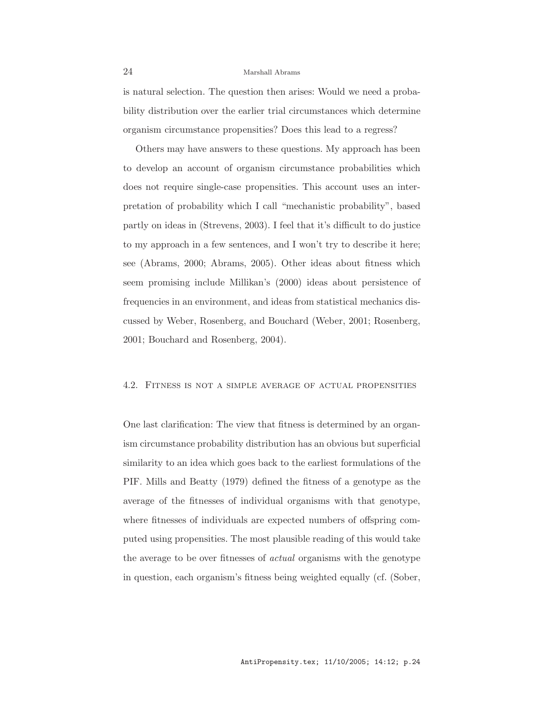is natural selection. The question then arises: Would we need a probability distribution over the earlier trial circumstances which determine organism circumstance propensities? Does this lead to a regress?

Others may have answers to these questions. My approach has been to develop an account of organism circumstance probabilities which does not require single-case propensities. This account uses an interpretation of probability which I call "mechanistic probability", based partly on ideas in (Strevens, 2003). I feel that it's difficult to do justice to my approach in a few sentences, and I won't try to describe it here; see (Abrams, 2000; Abrams, 2005). Other ideas about fitness which seem promising include Millikan's (2000) ideas about persistence of frequencies in an environment, and ideas from statistical mechanics discussed by Weber, Rosenberg, and Bouchard (Weber, 2001; Rosenberg, 2001; Bouchard and Rosenberg, 2004).

#### 4.2. Fitness is not a simple average of actual propensities

One last clarification: The view that fitness is determined by an organism circumstance probability distribution has an obvious but superficial similarity to an idea which goes back to the earliest formulations of the PIF. Mills and Beatty (1979) defined the fitness of a genotype as the average of the fitnesses of individual organisms with that genotype, where fitnesses of individuals are expected numbers of offspring computed using propensities. The most plausible reading of this would take the average to be over fitnesses of actual organisms with the genotype in question, each organism's fitness being weighted equally (cf. (Sober,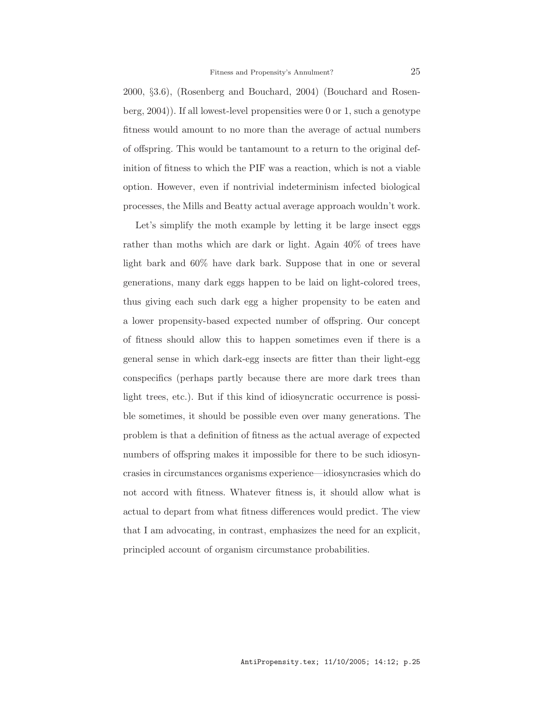2000, §3.6), (Rosenberg and Bouchard, 2004) (Bouchard and Rosenberg, 2004)). If all lowest-level propensities were 0 or 1, such a genotype fitness would amount to no more than the average of actual numbers of offspring. This would be tantamount to a return to the original definition of fitness to which the PIF was a reaction, which is not a viable option. However, even if nontrivial indeterminism infected biological processes, the Mills and Beatty actual average approach wouldn't work.

Let's simplify the moth example by letting it be large insect eggs rather than moths which are dark or light. Again 40% of trees have light bark and 60% have dark bark. Suppose that in one or several generations, many dark eggs happen to be laid on light-colored trees, thus giving each such dark egg a higher propensity to be eaten and a lower propensity-based expected number of offspring. Our concept of fitness should allow this to happen sometimes even if there is a general sense in which dark-egg insects are fitter than their light-egg conspecifics (perhaps partly because there are more dark trees than light trees, etc.). But if this kind of idiosyncratic occurrence is possible sometimes, it should be possible even over many generations. The problem is that a definition of fitness as the actual average of expected numbers of offspring makes it impossible for there to be such idiosyncrasies in circumstances organisms experience—idiosyncrasies which do not accord with fitness. Whatever fitness is, it should allow what is actual to depart from what fitness differences would predict. The view that I am advocating, in contrast, emphasizes the need for an explicit, principled account of organism circumstance probabilities.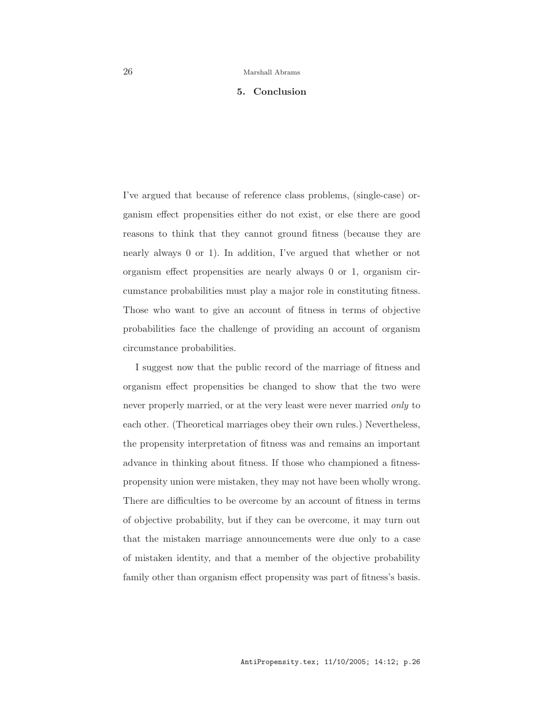## 5. Conclusion

I've argued that because of reference class problems, (single-case) organism effect propensities either do not exist, or else there are good reasons to think that they cannot ground fitness (because they are nearly always 0 or 1). In addition, I've argued that whether or not organism effect propensities are nearly always 0 or 1, organism circumstance probabilities must play a major role in constituting fitness. Those who want to give an account of fitness in terms of objective probabilities face the challenge of providing an account of organism circumstance probabilities.

I suggest now that the public record of the marriage of fitness and organism effect propensities be changed to show that the two were never properly married, or at the very least were never married only to each other. (Theoretical marriages obey their own rules.) Nevertheless, the propensity interpretation of fitness was and remains an important advance in thinking about fitness. If those who championed a fitnesspropensity union were mistaken, they may not have been wholly wrong. There are difficulties to be overcome by an account of fitness in terms of objective probability, but if they can be overcome, it may turn out that the mistaken marriage announcements were due only to a case of mistaken identity, and that a member of the objective probability family other than organism effect propensity was part of fitness's basis.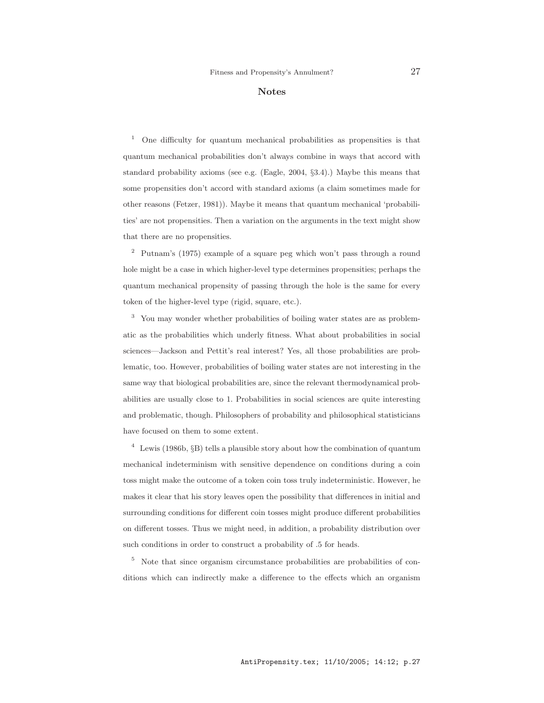#### Notes

<sup>1</sup> One difficulty for quantum mechanical probabilities as propensities is that quantum mechanical probabilities don't always combine in ways that accord with standard probability axioms (see e.g. (Eagle, 2004, §3.4).) Maybe this means that some propensities don't accord with standard axioms (a claim sometimes made for other reasons (Fetzer, 1981)). Maybe it means that quantum mechanical 'probabilities' are not propensities. Then a variation on the arguments in the text might show that there are no propensities.

<sup>2</sup> Putnam's (1975) example of a square peg which won't pass through a round hole might be a case in which higher-level type determines propensities; perhaps the quantum mechanical propensity of passing through the hole is the same for every token of the higher-level type (rigid, square, etc.).

<sup>3</sup> You may wonder whether probabilities of boiling water states are as problematic as the probabilities which underly fitness. What about probabilities in social sciences—Jackson and Pettit's real interest? Yes, all those probabilities are problematic, too. However, probabilities of boiling water states are not interesting in the same way that biological probabilities are, since the relevant thermodynamical probabilities are usually close to 1. Probabilities in social sciences are quite interesting and problematic, though. Philosophers of probability and philosophical statisticians have focused on them to some extent.

 $4$  Lewis (1986b, §B) tells a plausible story about how the combination of quantum mechanical indeterminism with sensitive dependence on conditions during a coin toss might make the outcome of a token coin toss truly indeterministic. However, he makes it clear that his story leaves open the possibility that differences in initial and surrounding conditions for different coin tosses might produce different probabilities on different tosses. Thus we might need, in addition, a probability distribution over such conditions in order to construct a probability of .5 for heads.

<sup>5</sup> Note that since organism circumstance probabilities are probabilities of conditions which can indirectly make a difference to the effects which an organism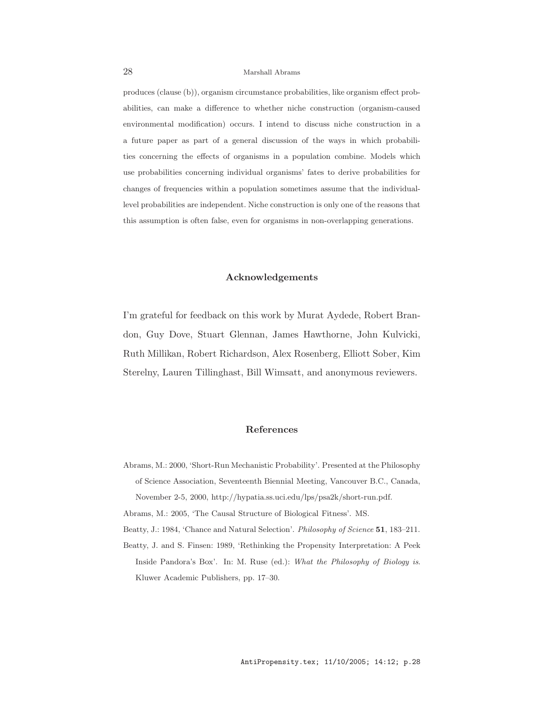produces (clause (b)), organism circumstance probabilities, like organism effect probabilities, can make a difference to whether niche construction (organism-caused environmental modification) occurs. I intend to discuss niche construction in a a future paper as part of a general discussion of the ways in which probabilities concerning the effects of organisms in a population combine. Models which use probabilities concerning individual organisms' fates to derive probabilities for changes of frequencies within a population sometimes assume that the individuallevel probabilities are independent. Niche construction is only one of the reasons that this assumption is often false, even for organisms in non-overlapping generations.

## Acknowledgements

I'm grateful for feedback on this work by Murat Aydede, Robert Brandon, Guy Dove, Stuart Glennan, James Hawthorne, John Kulvicki, Ruth Millikan, Robert Richardson, Alex Rosenberg, Elliott Sober, Kim Sterelny, Lauren Tillinghast, Bill Wimsatt, and anonymous reviewers.

## References

Abrams, M.: 2000, 'Short-Run Mechanistic Probability'. Presented at the Philosophy of Science Association, Seventeenth Biennial Meeting, Vancouver B.C., Canada, November 2-5, 2000, http://hypatia.ss.uci.edu/lps/psa2k/short-run.pdf.

Abrams, M.: 2005, 'The Causal Structure of Biological Fitness'. MS.

- Beatty, J.: 1984, 'Chance and Natural Selection'. Philosophy of Science 51, 183-211.
- Beatty, J. and S. Finsen: 1989, 'Rethinking the Propensity Interpretation: A Peek Inside Pandora's Box'. In: M. Ruse (ed.): What the Philosophy of Biology is. Kluwer Academic Publishers, pp. 17–30.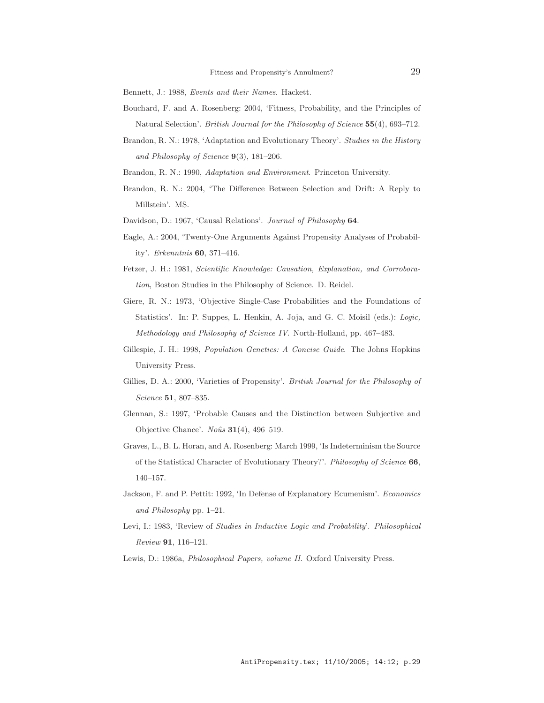Bennett, J.: 1988, Events and their Names. Hackett.

- Bouchard, F. and A. Rosenberg: 2004, 'Fitness, Probability, and the Principles of Natural Selection'. British Journal for the Philosophy of Science 55(4), 693–712.
- Brandon, R. N.: 1978, 'Adaptation and Evolutionary Theory'. Studies in the History and Philosophy of Science  $9(3)$ , 181-206.
- Brandon, R. N.: 1990, *Adaptation and Environment*. Princeton University.
- Brandon, R. N.: 2004, 'The Difference Between Selection and Drift: A Reply to Millstein'. MS.
- Davidson, D.: 1967, 'Causal Relations'. Journal of Philosophy 64.
- Eagle, A.: 2004, 'Twenty-One Arguments Against Propensity Analyses of Probability'. Erkenntnis 60, 371–416.
- Fetzer, J. H.: 1981, Scientific Knowledge: Causation, Explanation, and Corroboration, Boston Studies in the Philosophy of Science. D. Reidel.
- Giere, R. N.: 1973, 'Objective Single-Case Probabilities and the Foundations of Statistics'. In: P. Suppes, L. Henkin, A. Joja, and G. C. Moisil (eds.): Logic, Methodology and Philosophy of Science IV. North-Holland, pp. 467–483.
- Gillespie, J. H.: 1998, Population Genetics: A Concise Guide. The Johns Hopkins University Press.
- Gillies, D. A.: 2000, 'Varieties of Propensity'. British Journal for the Philosophy of Science 51, 807–835.
- Glennan, S.: 1997, 'Probable Causes and the Distinction between Subjective and Objective Chance'. Noûs  $31(4)$ , 496-519.
- Graves, L., B. L. Horan, and A. Rosenberg: March 1999, 'Is Indeterminism the Source of the Statistical Character of Evolutionary Theory?'. Philosophy of Science 66, 140–157.
- Jackson, F. and P. Pettit: 1992, 'In Defense of Explanatory Ecumenism'. Economics and Philosophy pp. 1–21.
- Levi, I.: 1983, 'Review of Studies in Inductive Logic and Probability'. Philosophical Review 91, 116–121.

Lewis, D.: 1986a, Philosophical Papers, volume II. Oxford University Press.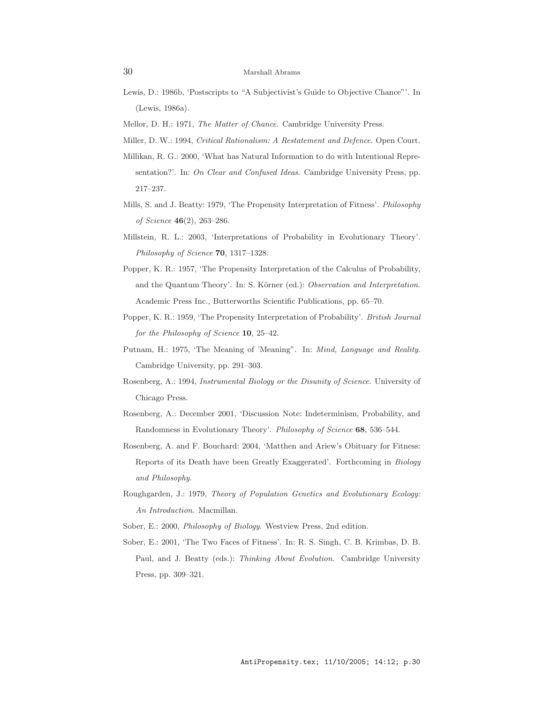- Lewis, D.: 1986b, 'Postscripts to "A Subjectivist's Guide to Objective Chance"'. In (Lewis, 1986a).
- Mellor, D. H.: 1971, The Matter of Chance. Cambridge University Press.
- Miller, D. W.: 1994, Critical Rationalism: A Restatement and Defence. Open Court.
- Millikan, R. G.: 2000, 'What has Natural Information to do with Intentional Representation?'. In: On Clear and Confused Ideas. Cambridge University Press, pp. 217–237.
- Mills, S. and J. Beatty: 1979, 'The Propensity Interpretation of Fitness'. Philosophy of Science 46(2), 263–286.
- Millstein, R. L.: 2003, 'Interpretations of Probability in Evolutionary Theory'. Philosophy of Science **70**, 1317–1328.
- Popper, K. R.: 1957, 'The Propensity Interpretation of the Calculus of Probability, and the Quantum Theory'. In: S. Körner (ed.): Observation and Interpretation. Academic Press Inc., Butterworths Scientific Publications, pp. 65–70.
- Popper, K. R.: 1959, 'The Propensity Interpretation of Probability'. British Journal for the Philosophy of Science 10, 25–42.
- Putnam, H.: 1975, 'The Meaning of 'Meaning". In: *Mind, Language and Reality.* Cambridge University, pp. 291–303.
- Rosenberg, A.: 1994, Instrumental Biology or the Disunity of Science. University of Chicago Press.
- Rosenberg, A.: December 2001, 'Discussion Note: Indeterminism, Probability, and Randomness in Evolutionary Theory'. Philosophy of Science 68, 536–544.
- Rosenberg, A. and F. Bouchard: 2004, 'Matthen and Ariew's Obituary for Fitness: Reports of its Death have been Greatly Exaggerated'. Forthcoming in Biology and Philosophy.
- Roughgarden, J.: 1979, Theory of Population Genetics and Evolutionary Ecology: An Introduction. Macmillan.
- Sober, E.: 2000, Philosophy of Biology. Westview Press, 2nd edition.
- Sober, E.: 2001, 'The Two Faces of Fitness'. In: R. S. Singh, C. B. Krimbas, D. B. Paul, and J. Beatty (eds.): Thinking About Evolution. Cambridge University Press, pp. 309–321.